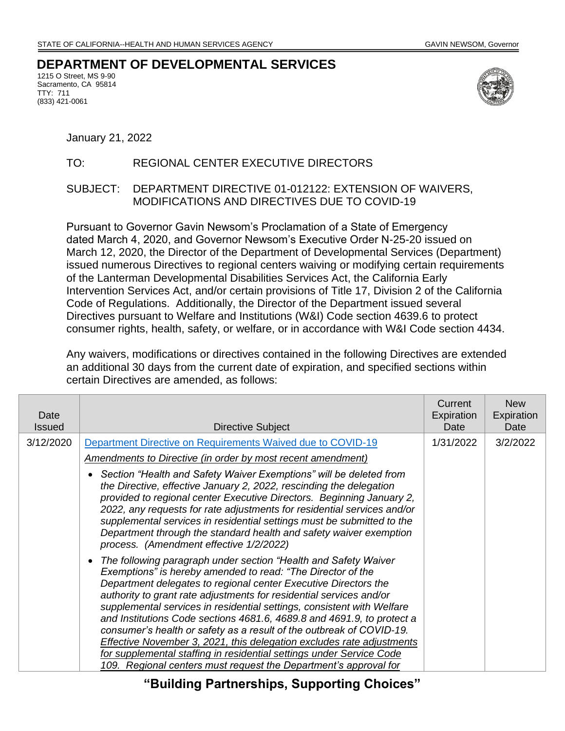## **DEPARTMENT OF DEVELOPMENTAL SERVICES**

1215 O Street, MS 9-90 Sacramento, CA 95814 TTY: 711 (833) 421-0061



January 21, 2022

## TO: REGIONAL CENTER EXECUTIVE DIRECTORS

## SUBJECT: DEPARTMENT DIRECTIVE 01-012122: EXTENSION OF WAIVERS, MODIFICATIONS AND DIRECTIVES DUE TO COVID-19

Pursuant to Governor Gavin Newsom's Proclamation of a State of Emergency dated March 4, 2020, and Governor Newsom's Executive Order N-25-20 issued on March 12, 2020, the Director of the Department of Developmental Services (Department) issued numerous Directives to regional centers waiving or modifying certain requirements of the Lanterman Developmental Disabilities Services Act, the California Early Intervention Services Act, and/or certain provisions of Title 17, Division 2 of the California Code of Regulations. Additionally, the Director of the Department issued several Directives pursuant to Welfare and Institutions (W&I) Code section 4639.6 to protect consumer rights, health, safety, or welfare, or in accordance with W&I Code section 4434.

Any waivers, modifications or directives contained in the following Directives are extended an additional 30 days from the current date of expiration, and specified sections within certain Directives are amended, as follows:

| Date<br><b>Issued</b> | Directive Subject                                                                                                                                                                                                                                                                                                                                                                                                                                                                                                                                                                                                                                                                                                         | Current<br>Expiration<br>Date | <b>New</b><br>Expiration<br>Date |
|-----------------------|---------------------------------------------------------------------------------------------------------------------------------------------------------------------------------------------------------------------------------------------------------------------------------------------------------------------------------------------------------------------------------------------------------------------------------------------------------------------------------------------------------------------------------------------------------------------------------------------------------------------------------------------------------------------------------------------------------------------------|-------------------------------|----------------------------------|
| 3/12/2020             | Department Directive on Requirements Waived due to COVID-19                                                                                                                                                                                                                                                                                                                                                                                                                                                                                                                                                                                                                                                               | 1/31/2022                     | 3/2/2022                         |
|                       | <b>Amendments to Directive (in order by most recent amendment)</b>                                                                                                                                                                                                                                                                                                                                                                                                                                                                                                                                                                                                                                                        |                               |                                  |
|                       | Section "Health and Safety Waiver Exemptions" will be deleted from<br>the Directive, effective January 2, 2022, rescinding the delegation<br>provided to regional center Executive Directors. Beginning January 2,<br>2022, any requests for rate adjustments for residential services and/or<br>supplemental services in residential settings must be submitted to the<br>Department through the standard health and safety waiver exemption<br>process. (Amendment effective 1/2/2022)                                                                                                                                                                                                                                  |                               |                                  |
|                       | The following paragraph under section "Health and Safety Waiver<br>Exemptions" is hereby amended to read: "The Director of the<br>Department delegates to regional center Executive Directors the<br>authority to grant rate adjustments for residential services and/or<br>supplemental services in residential settings, consistent with Welfare<br>and Institutions Code sections 4681.6, 4689.8 and 4691.9, to protect a<br>consumer's health or safety as a result of the outbreak of COVID-19.<br>Effective November 3, 2021, this delegation excludes rate adjustments<br>for supplemental staffing in residential settings under Service Code<br>109. Regional centers must request the Department's approval for |                               |                                  |

**"Building Partnerships, Supporting Choices"**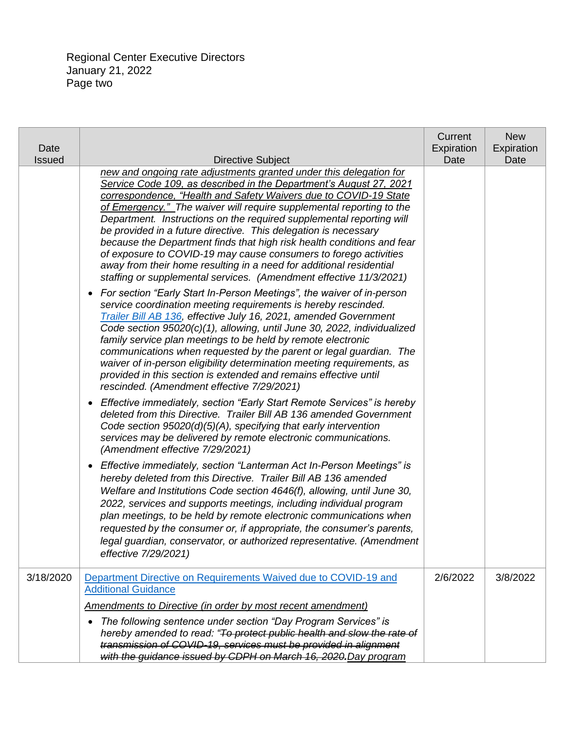Regional Center Executive Directors January 21, 2022 Page two

| Date<br><b>Issued</b> | Directive Subject                                                                                                                                                                                                                                                                                                                                                                                                                                                                                                                                                                                                                                                                                                          | Current<br>Expiration<br>Date | <b>New</b><br>Expiration<br>Date |
|-----------------------|----------------------------------------------------------------------------------------------------------------------------------------------------------------------------------------------------------------------------------------------------------------------------------------------------------------------------------------------------------------------------------------------------------------------------------------------------------------------------------------------------------------------------------------------------------------------------------------------------------------------------------------------------------------------------------------------------------------------------|-------------------------------|----------------------------------|
|                       | new and ongoing rate adjustments granted under this delegation for<br>Service Code 109, as described in the Department's August 27, 2021<br>correspondence, "Health and Safety Waivers due to COVID-19 State<br>of Emergency." The waiver will require supplemental reporting to the<br>Department. Instructions on the required supplemental reporting will<br>be provided in a future directive. This delegation is necessary<br>because the Department finds that high risk health conditions and fear<br>of exposure to COVID-19 may cause consumers to forego activities<br>away from their home resulting in a need for additional residential<br>staffing or supplemental services. (Amendment effective 11/3/2021) |                               |                                  |
|                       | • For section "Early Start In-Person Meetings", the waiver of in-person<br>service coordination meeting requirements is hereby rescinded.<br>Trailer Bill AB 136, effective July 16, 2021, amended Government<br>Code section 95020(c)(1), allowing, until June 30, 2022, individualized<br>family service plan meetings to be held by remote electronic<br>communications when requested by the parent or legal guardian. The<br>waiver of in-person eligibility determination meeting requirements, as<br>provided in this section is extended and remains effective until<br>rescinded. (Amendment effective 7/29/2021)                                                                                                 |                               |                                  |
|                       | Effective immediately, section "Early Start Remote Services" is hereby<br>$\bullet$<br>deleted from this Directive. Trailer Bill AB 136 amended Government<br>Code section $95020(d)(5)(A)$ , specifying that early intervention<br>services may be delivered by remote electronic communications.<br>(Amendment effective 7/29/2021)                                                                                                                                                                                                                                                                                                                                                                                      |                               |                                  |
|                       | Effective immediately, section "Lanterman Act In-Person Meetings" is<br>$\bullet$<br>hereby deleted from this Directive. Trailer Bill AB 136 amended<br>Welfare and Institutions Code section 4646(f), allowing, until June 30,<br>2022, services and supports meetings, including individual program<br>plan meetings, to be held by remote electronic communications when<br>requested by the consumer or, if appropriate, the consumer's parents,<br>legal guardian, conservator, or authorized representative. (Amendment<br>effective 7/29/2021)                                                                                                                                                                      |                               |                                  |
| 3/18/2020             | Department Directive on Requirements Waived due to COVID-19 and<br><b>Additional Guidance</b>                                                                                                                                                                                                                                                                                                                                                                                                                                                                                                                                                                                                                              | 2/6/2022                      | 3/8/2022                         |
|                       | Amendments to Directive (in order by most recent amendment)                                                                                                                                                                                                                                                                                                                                                                                                                                                                                                                                                                                                                                                                |                               |                                  |
|                       | The following sentence under section "Day Program Services" is<br>$\bullet$<br>hereby amended to read: "To protect public health and slow the rate of<br>transmission of COVID-19, services must be provided in alignment<br>with the guidance issued by CDPH on March 16, 2020. Day program                                                                                                                                                                                                                                                                                                                                                                                                                               |                               |                                  |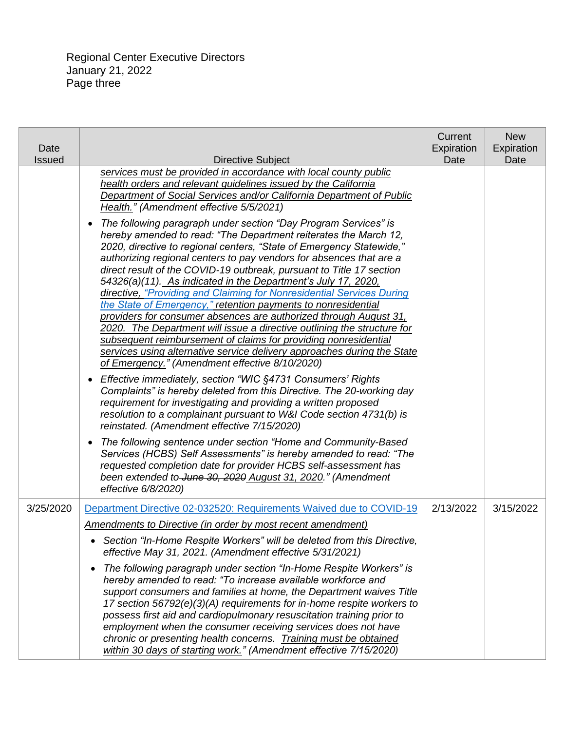| Date<br><b>Issued</b> | <b>Directive Subject</b>                                                                                                                                                                                                                                                                                                                                                                                                                                                                                                                                                                                                                                                                                                                                                                                                                                                                                                                                                                                                                                                                                                                                                                                                                                                | Current<br>Expiration<br>Date | <b>New</b><br>Expiration<br>Date |
|-----------------------|-------------------------------------------------------------------------------------------------------------------------------------------------------------------------------------------------------------------------------------------------------------------------------------------------------------------------------------------------------------------------------------------------------------------------------------------------------------------------------------------------------------------------------------------------------------------------------------------------------------------------------------------------------------------------------------------------------------------------------------------------------------------------------------------------------------------------------------------------------------------------------------------------------------------------------------------------------------------------------------------------------------------------------------------------------------------------------------------------------------------------------------------------------------------------------------------------------------------------------------------------------------------------|-------------------------------|----------------------------------|
|                       | services must be provided in accordance with local county public<br>health orders and relevant guidelines issued by the California<br>Department of Social Services and/or California Department of Public<br>Health." (Amendment effective 5/5/2021)<br>The following paragraph under section "Day Program Services" is<br>$\bullet$<br>hereby amended to read: "The Department reiterates the March 12,<br>2020, directive to regional centers, "State of Emergency Statewide,"<br>authorizing regional centers to pay vendors for absences that are a<br>direct result of the COVID-19 outbreak, pursuant to Title 17 section<br>54326(a)(11). As indicated in the Department's July 17, 2020,<br>directive, "Providing and Claiming for Nonresidential Services During<br>the State of Emergency," retention payments to nonresidential<br>providers for consumer absences are authorized through August 31.<br>2020. The Department will issue a directive outlining the structure for<br>subsequent reimbursement of claims for providing nonresidential<br>services using alternative service delivery approaches during the State<br>of Emergency." (Amendment effective 8/10/2020)<br>Effective immediately, section "WIC §4731 Consumers' Rights<br>$\bullet$ |                               |                                  |
|                       | Complaints" is hereby deleted from this Directive. The 20-working day<br>requirement for investigating and providing a written proposed<br>resolution to a complainant pursuant to W&I Code section 4731(b) is<br>reinstated. (Amendment effective 7/15/2020)                                                                                                                                                                                                                                                                                                                                                                                                                                                                                                                                                                                                                                                                                                                                                                                                                                                                                                                                                                                                           |                               |                                  |
|                       | The following sentence under section "Home and Community-Based<br>$\bullet$<br>Services (HCBS) Self Assessments" is hereby amended to read: "The<br>requested completion date for provider HCBS self-assessment has<br>been extended to June 30, 2020 August 31, 2020." (Amendment<br>effective 6/8/2020)                                                                                                                                                                                                                                                                                                                                                                                                                                                                                                                                                                                                                                                                                                                                                                                                                                                                                                                                                               |                               |                                  |
| 3/25/2020             | Department Directive 02-032520: Requirements Waived due to COVID-19<br><b>Amendments to Directive (in order by most recent amendment)</b>                                                                                                                                                                                                                                                                                                                                                                                                                                                                                                                                                                                                                                                                                                                                                                                                                                                                                                                                                                                                                                                                                                                               | 2/13/2022                     | 3/15/2022                        |
|                       | • Section "In-Home Respite Workers" will be deleted from this Directive,<br>effective May 31, 2021. (Amendment effective 5/31/2021)                                                                                                                                                                                                                                                                                                                                                                                                                                                                                                                                                                                                                                                                                                                                                                                                                                                                                                                                                                                                                                                                                                                                     |                               |                                  |
|                       | The following paragraph under section "In-Home Respite Workers" is<br>$\bullet$<br>hereby amended to read: "To increase available workforce and<br>support consumers and families at home, the Department waives Title<br>17 section 56792(e)(3)(A) requirements for in-home respite workers to<br>possess first aid and cardiopulmonary resuscitation training prior to<br>employment when the consumer receiving services does not have<br>chronic or presenting health concerns. Training must be obtained<br>within 30 days of starting work." (Amendment effective 7/15/2020)                                                                                                                                                                                                                                                                                                                                                                                                                                                                                                                                                                                                                                                                                      |                               |                                  |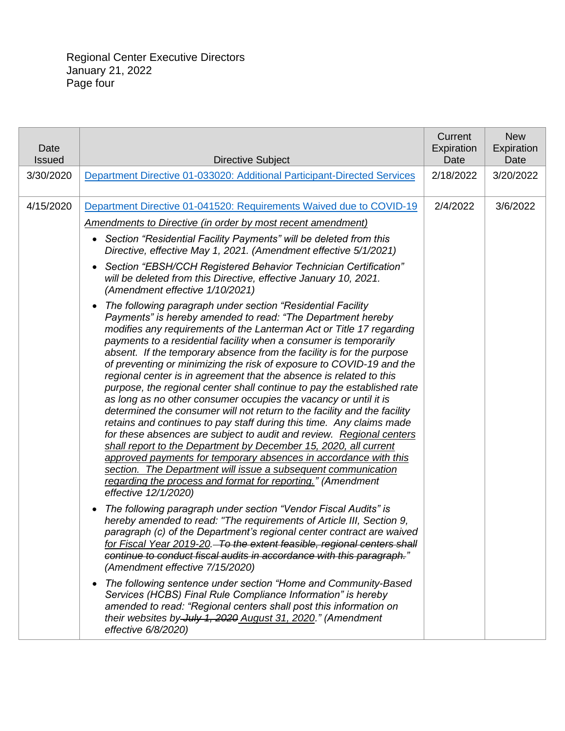| Date<br><b>Issued</b> | <b>Directive Subject</b>                                                                                                                                                                                                                                                                                                                                                                                                                                                                                                                                                                                                                                                                                                                                                                                                                                                                                                                                                                                                                                                                                                                                                                                                                                                                                                                                                                                                                                                                                                                                                                                                                                                                                                                                                                                                                                                                                                                                                                                                                                                                           | Current<br>Expiration<br>Date | <b>New</b><br>Expiration<br>Date |
|-----------------------|----------------------------------------------------------------------------------------------------------------------------------------------------------------------------------------------------------------------------------------------------------------------------------------------------------------------------------------------------------------------------------------------------------------------------------------------------------------------------------------------------------------------------------------------------------------------------------------------------------------------------------------------------------------------------------------------------------------------------------------------------------------------------------------------------------------------------------------------------------------------------------------------------------------------------------------------------------------------------------------------------------------------------------------------------------------------------------------------------------------------------------------------------------------------------------------------------------------------------------------------------------------------------------------------------------------------------------------------------------------------------------------------------------------------------------------------------------------------------------------------------------------------------------------------------------------------------------------------------------------------------------------------------------------------------------------------------------------------------------------------------------------------------------------------------------------------------------------------------------------------------------------------------------------------------------------------------------------------------------------------------------------------------------------------------------------------------------------------------|-------------------------------|----------------------------------|
| 3/30/2020             | Department Directive 01-033020: Additional Participant-Directed Services                                                                                                                                                                                                                                                                                                                                                                                                                                                                                                                                                                                                                                                                                                                                                                                                                                                                                                                                                                                                                                                                                                                                                                                                                                                                                                                                                                                                                                                                                                                                                                                                                                                                                                                                                                                                                                                                                                                                                                                                                           | 2/18/2022                     | 3/20/2022                        |
| 4/15/2020             | Department Directive 01-041520: Requirements Waived due to COVID-19<br>Amendments to Directive (in order by most recent amendment)<br>Section "Residential Facility Payments" will be deleted from this<br>$\bullet$<br>Directive, effective May 1, 2021. (Amendment effective 5/1/2021)<br>Section "EBSH/CCH Registered Behavior Technician Certification"<br>$\bullet$<br>will be deleted from this Directive, effective January 10, 2021.<br>(Amendment effective 1/10/2021)<br>The following paragraph under section "Residential Facility<br>$\bullet$<br>Payments" is hereby amended to read: "The Department hereby<br>modifies any requirements of the Lanterman Act or Title 17 regarding<br>payments to a residential facility when a consumer is temporarily<br>absent. If the temporary absence from the facility is for the purpose<br>of preventing or minimizing the risk of exposure to COVID-19 and the<br>regional center is in agreement that the absence is related to this<br>purpose, the regional center shall continue to pay the established rate<br>as long as no other consumer occupies the vacancy or until it is<br>determined the consumer will not return to the facility and the facility<br>retains and continues to pay staff during this time. Any claims made<br>for these absences are subject to audit and review. Regional centers<br>shall report to the Department by December 15, 2020, all current<br>approved payments for temporary absences in accordance with this<br>section. The Department will issue a subsequent communication<br>regarding the process and format for reporting." (Amendment<br>effective 12/1/2020)<br>The following paragraph under section "Vendor Fiscal Audits" is<br>$\bullet$<br>hereby amended to read: "The requirements of Article III, Section 9,<br>paragraph (c) of the Department's regional center contract are waived<br>for Fiscal Year 2019-20. To the extent feasible, regional centers shall<br>continue to conduct fiscal audits in accordance with this paragraph."<br>(Amendment effective 7/15/2020) | 2/4/2022                      | 3/6/2022                         |
|                       | The following sentence under section "Home and Community-Based<br>$\bullet$<br>Services (HCBS) Final Rule Compliance Information" is hereby<br>amended to read: "Regional centers shall post this information on<br>their websites by July 1, 2020 August 31, 2020." (Amendment<br>effective 6/8/2020)                                                                                                                                                                                                                                                                                                                                                                                                                                                                                                                                                                                                                                                                                                                                                                                                                                                                                                                                                                                                                                                                                                                                                                                                                                                                                                                                                                                                                                                                                                                                                                                                                                                                                                                                                                                             |                               |                                  |